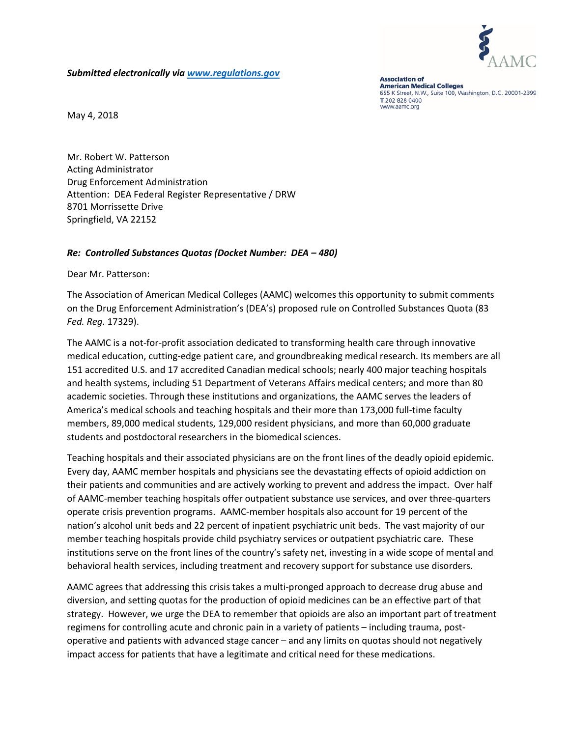

*Submitted electronically via [www.regulations.gov](http://www.regulations.gov/)*

**Association of American Medical Colleges** 655 K Street, N.W., Suite 100, Washington, D.C. 20001-2399 T 202 828 0400 www.aamc.org

May 4, 2018

Mr. Robert W. Patterson Acting Administrator Drug Enforcement Administration Attention: DEA Federal Register Representative / DRW 8701 Morrissette Drive Springfield, VA 22152

## *Re: Controlled Substances Quotas (Docket Number: DEA – 480)*

Dear Mr. Patterson:

The Association of American Medical Colleges (AAMC) welcomes this opportunity to submit comments on the Drug Enforcement Administration's (DEA's) proposed rule on Controlled Substances Quota (83 *Fed. Reg.* 17329).

The AAMC is a not-for-profit association dedicated to transforming health care through innovative medical education, cutting-edge patient care, and groundbreaking medical research. Its members are all 151 accredited U.S. and 17 accredited Canadian medical schools; nearly 400 major teaching hospitals and health systems, including 51 Department of Veterans Affairs medical centers; and more than 80 academic societies. Through these institutions and organizations, the AAMC serves the leaders of America's medical schools and teaching hospitals and their more than 173,000 full-time faculty members, 89,000 medical students, 129,000 resident physicians, and more than 60,000 graduate students and postdoctoral researchers in the biomedical sciences.

Teaching hospitals and their associated physicians are on the front lines of the deadly opioid epidemic. Every day, AAMC member hospitals and physicians see the devastating effects of opioid addiction on their patients and communities and are actively working to prevent and address the impact. Over half of AAMC-member teaching hospitals offer outpatient substance use services, and over three-quarters operate crisis prevention programs. AAMC-member hospitals also account for 19 percent of the nation's alcohol unit beds and 22 percent of inpatient psychiatric unit beds. The vast majority of our member teaching hospitals provide child psychiatry services or outpatient psychiatric care. These institutions serve on the front lines of the country's safety net, investing in a wide scope of mental and behavioral health services, including treatment and recovery support for substance use disorders.

AAMC agrees that addressing this crisis takes a multi-pronged approach to decrease drug abuse and diversion, and setting quotas for the production of opioid medicines can be an effective part of that strategy. However, we urge the DEA to remember that opioids are also an important part of treatment regimens for controlling acute and chronic pain in a variety of patients – including trauma, postoperative and patients with advanced stage cancer – and any limits on quotas should not negatively impact access for patients that have a legitimate and critical need for these medications.